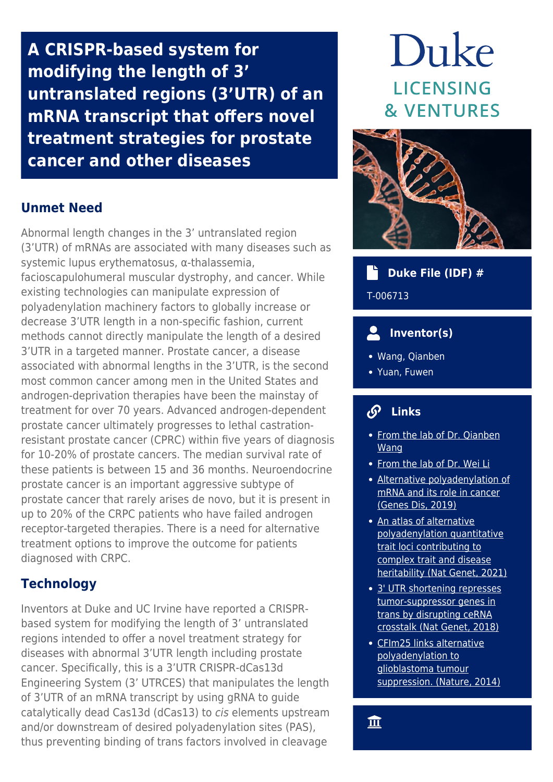**A CRISPR-based system for modifying the length of 3' untranslated regions (3'UTR) of an mRNA transcript that offers novel treatment strategies for prostate cancer and other diseases**

# **Unmet Need**

Abnormal length changes in the 3' untranslated region (3'UTR) of mRNAs are associated with many diseases such as systemic lupus erythematosus, α-thalassemia, facioscapulohumeral muscular dystrophy, and cancer. While existing technologies can manipulate expression of polyadenylation machinery factors to globally increase or decrease 3'UTR length in a non-specific fashion, current methods cannot directly manipulate the length of a desired 3'UTR in a targeted manner. Prostate cancer, a disease associated with abnormal lengths in the 3'UTR, is the second most common cancer among men in the United States and androgen-deprivation therapies have been the mainstay of treatment for over 70 years. Advanced androgen-dependent prostate cancer ultimately progresses to lethal castrationresistant prostate cancer (CPRC) within five years of diagnosis for 10-20% of prostate cancers. The median survival rate of these patients is between 15 and 36 months. Neuroendocrine prostate cancer is an important aggressive subtype of prostate cancer that rarely arises de novo, but it is present in up to 20% of the CRPC patients who have failed androgen receptor-targeted therapies. There is a need for alternative treatment options to improve the outcome for patients diagnosed with CRPC.

# **Technology**

Inventors at Duke and UC Irvine have reported a CRISPRbased system for modifying the length of 3' untranslated regions intended to offer a novel treatment strategy for diseases with abnormal 3'UTR length including prostate cancer. Specifically, this is a 3'UTR CRISPR-dCas13d Engineering System (3' UTRCES) that manipulates the length of 3'UTR of an mRNA transcript by using gRNA to guide catalytically dead Cas13d (dCas13) to cis elements upstream and/or downstream of desired polyadenylation sites (PAS), thus preventing binding of trans factors involved in cleavage

# Duke **LICENSING & VENTURES**



## **Duke File (IDF) #**

T-006713

# **Inventor(s)**

- Wang, Qianben
- Yuan, Fuwen

#### $\mathcal{S}$  **Links**

- From the lab of Dr. Oianben [Wang](https://sites.duke.edu/qianbenwanglab/)
- [From the lab of Dr. Wei Li](https://openwetware.org/wiki/Li_Lab)
- [Alternative polyadenylation of](https://pubmed.ncbi.nlm.nih.gov/33569514/) [mRNA and its role in cancer](https://pubmed.ncbi.nlm.nih.gov/33569514/) [\(Genes Dis, 2019\)](https://pubmed.ncbi.nlm.nih.gov/33569514/)
- [An atlas of alternative](https://pubmed.ncbi.nlm.nih.gov/33986536/) [polyadenylation quantitative](https://pubmed.ncbi.nlm.nih.gov/33986536/) [trait loci contributing to](https://pubmed.ncbi.nlm.nih.gov/33986536/) [complex trait and disease](https://pubmed.ncbi.nlm.nih.gov/33986536/) [heritability \(Nat Genet, 2021\)](https://pubmed.ncbi.nlm.nih.gov/33986536/)
- [3' UTR shortening represses](https://pubmed.ncbi.nlm.nih.gov/29785014/) [tumor-suppressor genes in](https://pubmed.ncbi.nlm.nih.gov/29785014/) [trans by disrupting ceRNA](https://pubmed.ncbi.nlm.nih.gov/29785014/) [crosstalk \(Nat Genet, 2018\)](https://pubmed.ncbi.nlm.nih.gov/29785014/)
- [CFIm25 links alternative](https://pubmed.ncbi.nlm.nih.gov/24814343/) [polyadenylation to](https://pubmed.ncbi.nlm.nih.gov/24814343/) [glioblastoma tumour](https://pubmed.ncbi.nlm.nih.gov/24814343/) [suppression. \(Nature, 2014\)](https://pubmed.ncbi.nlm.nih.gov/24814343/)

血